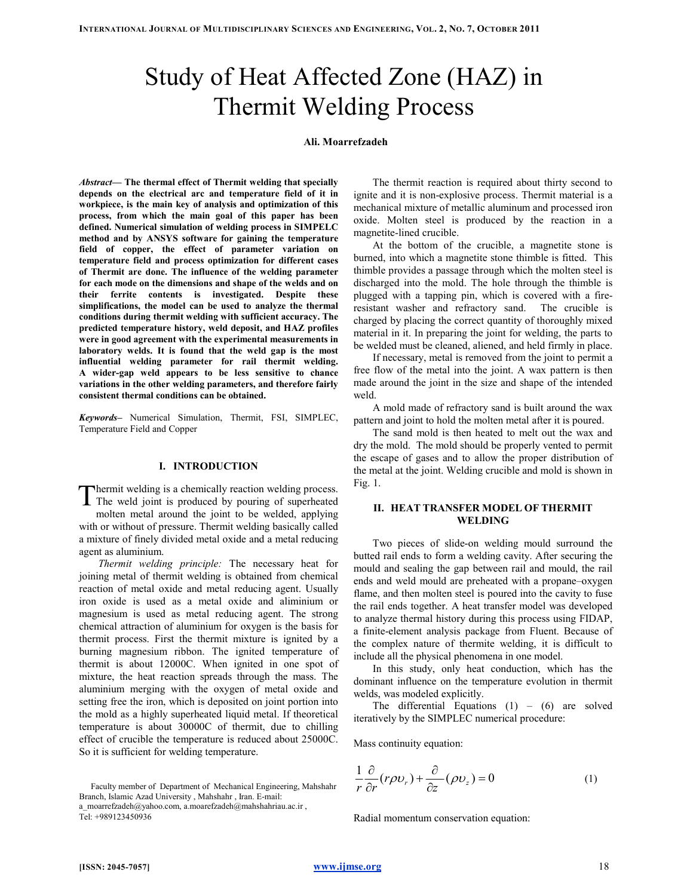# Study of Heat Affected Zone (HAZ) in Thermit Welding Process

#### Ali. Moarrefzadeh

Abstract— The thermal effect of Thermit welding that specially depends on the electrical arc and temperature field of it in workpiece, is the main key of analysis and optimization of this process, from which the main goal of this paper has been defined. Numerical simulation of welding process in SIMPELC method and by ANSYS software for gaining the temperature field of copper, the effect of parameter variation on temperature field and process optimization for different cases of Thermit are done. The influence of the welding parameter for each mode on the dimensions and shape of the welds and on their ferrite contents is investigated. Despite these simplifications, the model can be used to analyze the thermal conditions during thermit welding with sufficient accuracy. The predicted temperature history, weld deposit, and HAZ profiles were in good agreement with the experimental measurements in laboratory welds. It is found that the weld gap is the most influential welding parameter for rail thermit welding. A wider-gap weld appears to be less sensitive to chance variations in the other welding parameters, and therefore fairly consistent thermal conditions can be obtained.

Keywords– Numerical Simulation, Thermit, FSI, SIMPLEC, Temperature Field and Copper

#### I. INTRODUCTION

hermit welding is a chemically reaction welding process. The weld joint is produced by pouring of superheated<br>The weld joint is produced by pouring of superheated

molten metal around the joint to be welded, applying with or without of pressure. Thermit welding basically called a mixture of finely divided metal oxide and a metal reducing agent as aluminium.

Thermit welding principle: The necessary heat for joining metal of thermit welding is obtained from chemical reaction of metal oxide and metal reducing agent. Usually iron oxide is used as a metal oxide and aliminium or magnesium is used as metal reducing agent. The strong chemical attraction of aluminium for oxygen is the basis for thermit process. First the thermit mixture is ignited by a burning magnesium ribbon. The ignited temperature of thermit is about 12000C. When ignited in one spot of mixture, the heat reaction spreads through the mass. The aluminium merging with the oxygen of metal oxide and setting free the iron, which is deposited on joint portion into the mold as a highly superheated liquid metal. If theoretical temperature is about 30000C of thermit, due to chilling effect of crucible the temperature is reduced about 25000C. So it is sufficient for welding temperature.

 Faculty member of Department of Mechanical Engineering, Mahshahr Branch, Islamic Azad University , Mahshahr , Iran. E-mail: a\_moarrefzadeh@yahoo.com, a.moarefzadeh@mahshahriau.ac.ir , Tel: +989123450936

The thermit reaction is required about thirty second to ignite and it is non-explosive process. Thermit material is a mechanical mixture of metallic aluminum and processed iron oxide. Molten steel is produced by the reaction in a magnetite-lined crucible.

At the bottom of the crucible, a magnetite stone is burned, into which a magnetite stone thimble is fitted. This thimble provides a passage through which the molten steel is discharged into the mold. The hole through the thimble is plugged with a tapping pin, which is covered with a fireresistant washer and refractory sand. The crucible is charged by placing the correct quantity of thoroughly mixed material in it. In preparing the joint for welding, the parts to be welded must be cleaned, aliened, and held firmly in place.

If necessary, metal is removed from the joint to permit a free flow of the metal into the joint. A wax pattern is then made around the joint in the size and shape of the intended weld.

A mold made of refractory sand is built around the wax pattern and joint to hold the molten metal after it is poured.

The sand mold is then heated to melt out the wax and dry the mold. The mold should be properly vented to permit the escape of gases and to allow the proper distribution of the metal at the joint. Welding crucible and mold is shown in Fig. 1.

## II. HEAT TRANSFER MODEL OF THERMIT WELDING

Two pieces of slide-on welding mould surround the butted rail ends to form a welding cavity. After securing the mould and sealing the gap between rail and mould, the rail ends and weld mould are preheated with a propane–oxygen flame, and then molten steel is poured into the cavity to fuse the rail ends together. A heat transfer model was developed to analyze thermal history during this process using FIDAP, a finite-element analysis package from Fluent. Because of the complex nature of thermite welding, it is difficult to include all the physical phenomena in one model.

In this study, only heat conduction, which has the dominant influence on the temperature evolution in thermit welds, was modeled explicitly.

The differential Equations  $(1) - (6)$  are solved iteratively by the SIMPLEC numerical procedure:

Mass continuity equation:

$$
\frac{1}{r}\frac{\partial}{\partial r}(r\rho v_r) + \frac{\partial}{\partial z}(\rho v_z) = 0
$$
\n(1)

Radial momentum conservation equation: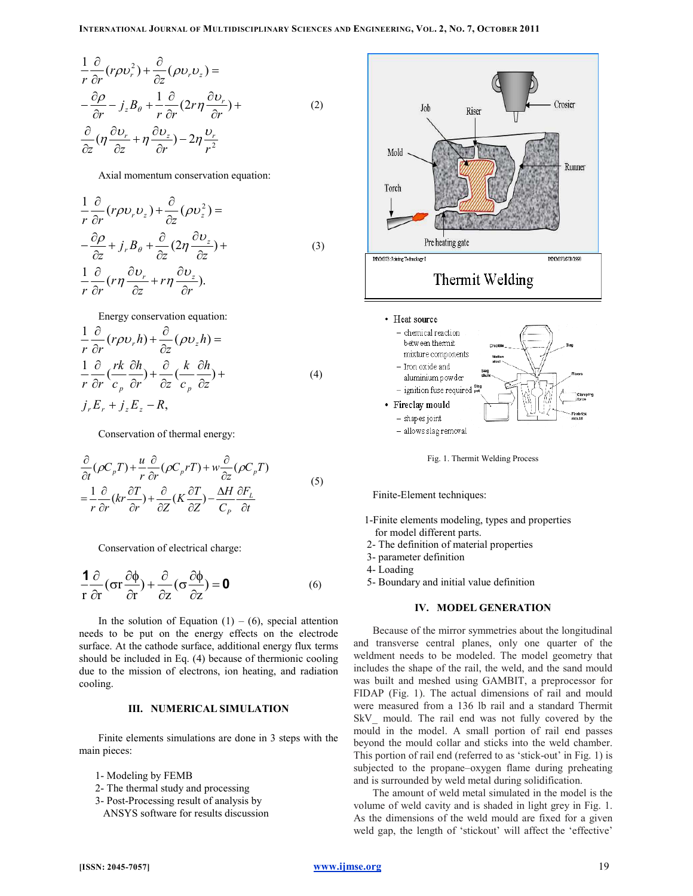$$
\frac{1}{r}\frac{\partial}{\partial r}(r\rho v_r^2) + \frac{\partial}{\partial z}(\rho v_r v_z) =
$$
\n
$$
-\frac{\partial \rho}{\partial r} - j_z B_\theta + \frac{1}{r}\frac{\partial}{\partial r}(2r\eta \frac{\partial v_r}{\partial r}) +
$$
\n
$$
\frac{\partial}{\partial z}(\eta \frac{\partial v_r}{\partial z} + \eta \frac{\partial v_z}{\partial r}) - 2\eta \frac{v_r}{r^2}
$$
\n(2)

Axial momentum conservation equation:

$$
\frac{1}{r}\frac{\partial}{\partial r}(r\rho v_r v_z) + \frac{\partial}{\partial z}(\rho v_z^2) =
$$
\n
$$
-\frac{\partial \rho}{\partial z} + j_r B_\theta + \frac{\partial}{\partial z}(2\eta \frac{\partial v_z}{\partial z}) +
$$
\n
$$
\frac{1}{r}\frac{\partial}{\partial r}(r\eta \frac{\partial v_r}{\partial z} + r\eta \frac{\partial v_z}{\partial r}).
$$
\n(3)

Energy conservation equation:

$$
\frac{1}{r}\frac{\partial}{\partial r}(r\rho v_r h) + \frac{\partial}{\partial z}(\rho v_z h) =
$$
\n
$$
\frac{1}{r}\frac{\partial}{\partial r}(\frac{rk}{c_p}\frac{\partial h}{\partial r}) + \frac{\partial}{\partial z}(\frac{k}{c_p}\frac{\partial h}{\partial z}) +
$$
\n
$$
j_r E_r + j_z E_z - R,
$$
\n(4)

Conservation of thermal energy:

$$
\frac{\partial}{\partial t}(\rho C_p T) + \frac{u}{r} \frac{\partial}{\partial r}(\rho C_p r T) + w \frac{\partial}{\partial z}(\rho C_p T)
$$
\n
$$
= \frac{1}{r} \frac{\partial}{\partial r} (kr \frac{\partial T}{\partial r}) + \frac{\partial}{\partial z} (K \frac{\partial T}{\partial z}) - \frac{\Delta H}{C_p} \frac{\partial F_L}{\partial t}
$$
\n(5)

Conservation of electrical charge:

$$
\frac{1}{r}\frac{\partial}{\partial r}(\sigma r \frac{\partial \phi}{\partial r}) + \frac{\partial}{\partial z}(\sigma \frac{\partial \phi}{\partial z}) = \mathbf{0}
$$
 (6)

In the solution of Equation  $(1) - (6)$ , special attention needs to be put on the energy effects on the electrode surface. At the cathode surface, additional energy flux terms should be included in Eq. (4) because of thermionic cooling due to the mission of electrons, ion heating, and radiation cooling.

# III. NUMERICAL SIMULATION

Finite elements simulations are done in 3 steps with the main pieces:

- 1- Modeling by FEMB
- 2- The thermal study and processing
- 3- Post-Processing result of analysis by
- ANSYS software for results discussion



Fig. 1. Thermit Welding Process

Finite-Element techniques:

- 1-Finite elements modeling, types and properties for model different parts.
- 2- The definition of material properties
- 3- parameter definition
- 4- Loading
- 5- Boundary and initial value definition

## IV. MODEL GENERATION

Because of the mirror symmetries about the longitudinal and transverse central planes, only one quarter of the weldment needs to be modeled. The model geometry that includes the shape of the rail, the weld, and the sand mould was built and meshed using GAMBIT, a preprocessor for FIDAP (Fig. 1). The actual dimensions of rail and mould were measured from a 136 lb rail and a standard Thermit SkV mould. The rail end was not fully covered by the mould in the model. A small portion of rail end passes beyond the mould collar and sticks into the weld chamber. This portion of rail end (referred to as 'stick-out' in Fig. 1) is subjected to the propane–oxygen flame during preheating and is surrounded by weld metal during solidification.

The amount of weld metal simulated in the model is the volume of weld cavity and is shaded in light grey in Fig. 1. As the dimensions of the weld mould are fixed for a given weld gap, the length of 'stickout' will affect the 'effective'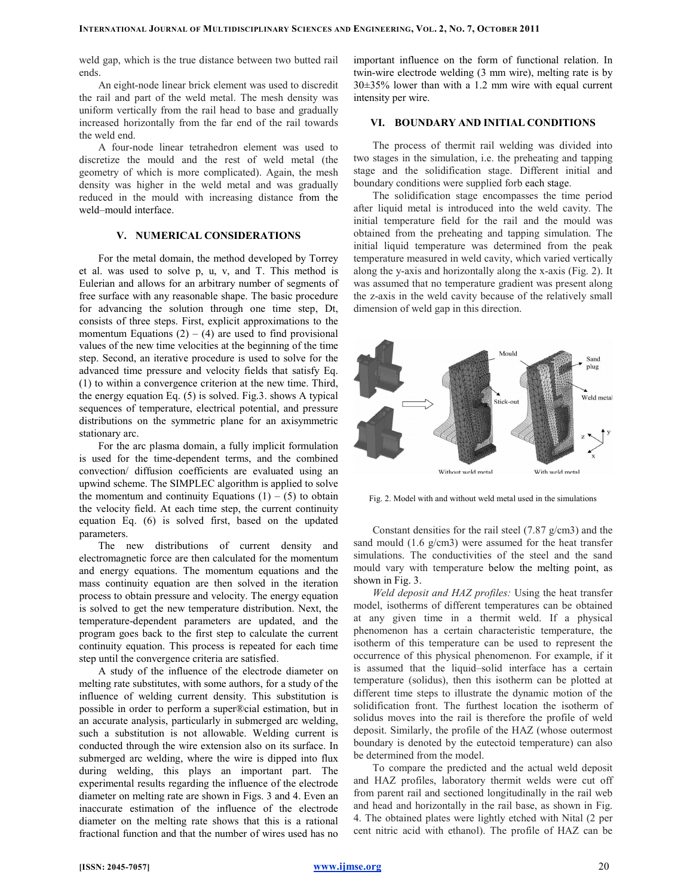weld gap, which is the true distance between two butted rail ends.

An eight-node linear brick element was used to discredit the rail and part of the weld metal. The mesh density was uniform vertically from the rail head to base and gradually increased horizontally from the far end of the rail towards the weld end.

A four-node linear tetrahedron element was used to discretize the mould and the rest of weld metal (the geometry of which is more complicated). Again, the mesh density was higher in the weld metal and was gradually reduced in the mould with increasing distance from the weld–mould interface.

# V. NUMERICAL CONSIDERATIONS

For the metal domain, the method developed by Torrey et al. was used to solve p, u, v, and T. This method is Eulerian and allows for an arbitrary number of segments of free surface with any reasonable shape. The basic procedure for advancing the solution through one time step, Dt, consists of three steps. First, explicit approximations to the momentum Equations  $(2) - (4)$  are used to find provisional values of the new time velocities at the beginning of the time step. Second, an iterative procedure is used to solve for the advanced time pressure and velocity fields that satisfy Eq. (1) to within a convergence criterion at the new time. Third, the energy equation Eq. (5) is solved. Fig.3. shows A typical sequences of temperature, electrical potential, and pressure distributions on the symmetric plane for an axisymmetric stationary arc.

For the arc plasma domain, a fully implicit formulation is used for the time-dependent terms, and the combined convection/ diffusion coefficients are evaluated using an upwind scheme. The SIMPLEC algorithm is applied to solve the momentum and continuity Equations  $(1) - (5)$  to obtain the velocity field. At each time step, the current continuity equation Eq. (6) is solved first, based on the updated parameters.

The new distributions of current density and electromagnetic force are then calculated for the momentum and energy equations. The momentum equations and the mass continuity equation are then solved in the iteration process to obtain pressure and velocity. The energy equation is solved to get the new temperature distribution. Next, the temperature-dependent parameters are updated, and the program goes back to the first step to calculate the current continuity equation. This process is repeated for each time step until the convergence criteria are satisfied.

A study of the influence of the electrode diameter on melting rate substitutes, with some authors, for a study of the influence of welding current density. This substitution is possible in order to perform a super®cial estimation, but in an accurate analysis, particularly in submerged arc welding, such a substitution is not allowable. Welding current is conducted through the wire extension also on its surface. In submerged arc welding, where the wire is dipped into flux during welding, this plays an important part. The experimental results regarding the influence of the electrode diameter on melting rate are shown in Figs. 3 and 4. Even an inaccurate estimation of the influence of the electrode diameter on the melting rate shows that this is a rational fractional function and that the number of wires used has no important influence on the form of functional relation. In twin-wire electrode welding (3 mm wire), melting rate is by 30±35% lower than with a 1.2 mm wire with equal current intensity per wire.

## VI. BOUNDARY AND INITIAL CONDITIONS

The process of thermit rail welding was divided into two stages in the simulation, i.e. the preheating and tapping stage and the solidification stage. Different initial and boundary conditions were supplied forb each stage.

The solidification stage encompasses the time period after liquid metal is introduced into the weld cavity. The initial temperature field for the rail and the mould was obtained from the preheating and tapping simulation. The initial liquid temperature was determined from the peak temperature measured in weld cavity, which varied vertically along the y-axis and horizontally along the x-axis (Fig. 2). It was assumed that no temperature gradient was present along the z-axis in the weld cavity because of the relatively small dimension of weld gap in this direction.



Fig. 2. Model with and without weld metal used in the simulations

Constant densities for the rail steel (7.87 g/cm3) and the sand mould (1.6 g/cm3) were assumed for the heat transfer simulations. The conductivities of the steel and the sand mould vary with temperature below the melting point, as shown in Fig. 3.

Weld deposit and HAZ profiles: Using the heat transfer model, isotherms of different temperatures can be obtained at any given time in a thermit weld. If a physical phenomenon has a certain characteristic temperature, the isotherm of this temperature can be used to represent the occurrence of this physical phenomenon. For example, if it is assumed that the liquid–solid interface has a certain temperature (solidus), then this isotherm can be plotted at different time steps to illustrate the dynamic motion of the solidification front. The furthest location the isotherm of solidus moves into the rail is therefore the profile of weld deposit. Similarly, the profile of the HAZ (whose outermost boundary is denoted by the eutectoid temperature) can also be determined from the model.

To compare the predicted and the actual weld deposit and HAZ profiles, laboratory thermit welds were cut off from parent rail and sectioned longitudinally in the rail web and head and horizontally in the rail base, as shown in Fig. 4. The obtained plates were lightly etched with Nital (2 per cent nitric acid with ethanol). The profile of HAZ can be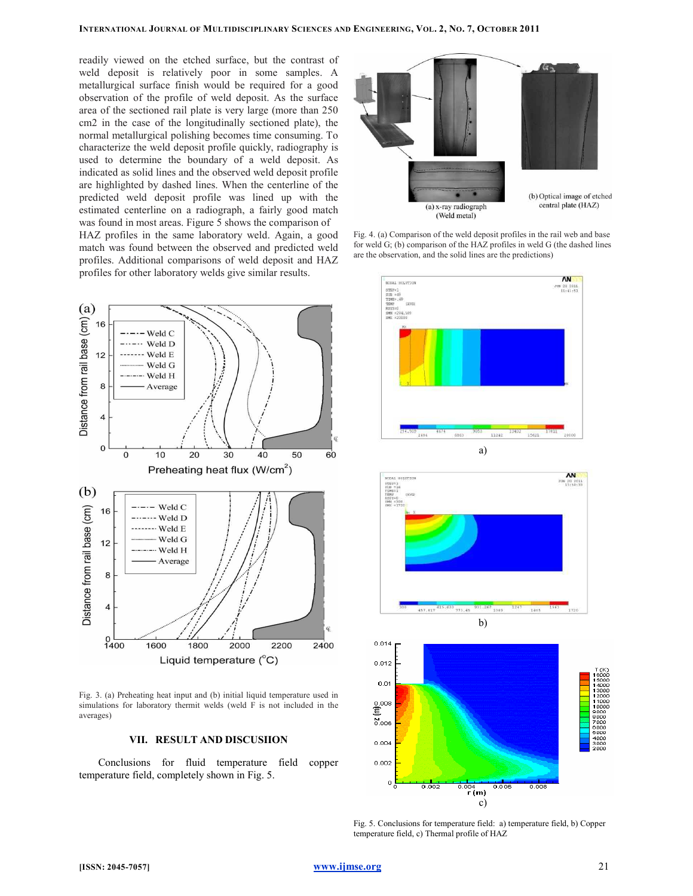readily viewed on the etched surface, but the contrast of weld deposit is relatively poor in some samples. A metallurgical surface finish would be required for a good observation of the profile of weld deposit. As the surface area of the sectioned rail plate is very large (more than 250 cm2 in the case of the longitudinally sectioned plate), the normal metallurgical polishing becomes time consuming. To characterize the weld deposit profile quickly, radiography is used to determine the boundary of a weld deposit. As indicated as solid lines and the observed weld deposit profile are highlighted by dashed lines. When the centerline of the predicted weld deposit profile was lined up with the estimated centerline on a radiograph, a fairly good match was found in most areas. Figure 5 shows the comparison of HAZ profiles in the same laboratory weld. Again, a good match was found between the observed and predicted weld profiles. Additional comparisons of weld deposit and HAZ profiles for other laboratory welds give similar results.



Fig. 4. (a) Comparison of the weld deposit profiles in the rail web and base for weld G; (b) comparison of the HAZ profiles in weld G (the dashed lines are the observation, and the solid lines are the predictions)



Fig. 5. Conclusions for temperature field: a) temperature field, b) Copper temperature field, c) Thermal profile of HAZ

c)



Fig. 3. (a) Preheating heat input and (b) initial liquid temperature used in simulations for laboratory thermit welds (weld F is not included in the averages)

# VII. RESULT AND DISCUSIION

Conclusions for fluid temperature field copper temperature field, completely shown in Fig. 5.